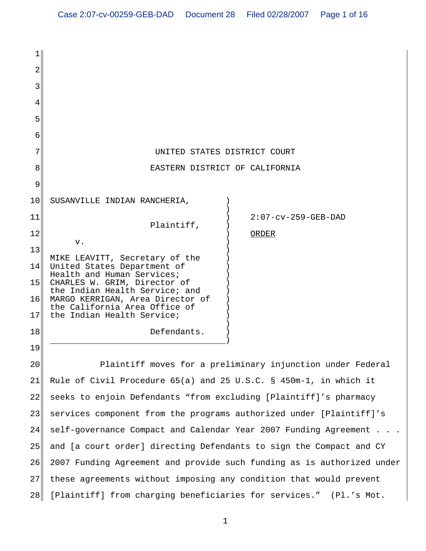| 2               |                                                                        |                        |
|-----------------|------------------------------------------------------------------------|------------------------|
|                 |                                                                        |                        |
|                 |                                                                        |                        |
| 5               |                                                                        |                        |
| 6               |                                                                        |                        |
|                 | UNITED STATES DISTRICT COURT                                           |                        |
| 8               | EASTERN DISTRICT OF CALIFORNIA                                         |                        |
| 9               |                                                                        |                        |
| 10              | SUSANVILLE INDIAN RANCHERIA,                                           |                        |
| 11              | Plaintiff,                                                             | $2:07$ -cv-259-GEB-DAD |
| 12              | v.                                                                     | ORDER                  |
| 13              | MIKE LEAVITT, Secretary of the                                         |                        |
| 14              | United States Department of<br>Health and Human Services;              |                        |
| 15              | CHARLES W. GRIM, Director of<br>the Indian Health Service; and         |                        |
| 16              | MARGO KERRIGAN, Area Director of<br>the California Area Office of      |                        |
| 17              | the Indian Health Service;                                             |                        |
| 18              | Defendants.                                                            |                        |
| 19              |                                                                        |                        |
| 20 <sub>o</sub> | Plaintiff moves for a preliminary injunction under Federal             |                        |
| 21              | Rule of Civil Procedure 65(a) and 25 U.S.C. § 450m-1, in which it      |                        |
| 22              | seeks to enjoin Defendants "from excluding [Plaintiff]'s pharmacy      |                        |
| 23              | services component from the programs authorized under [Plaintiff]'s    |                        |
| 24              | self-governance Compact and Calendar Year 2007 Funding Agreement       |                        |
| 25              | and [a court order] directing Defendants to sign the Compact and CY    |                        |
| 26              | 2007 Funding Agreement and provide such funding as is authorized under |                        |

28 [Plaintiff] from charging beneficiaries for services." (Pl.'s Mot.

these agreements without imposing any condition that would prevent

27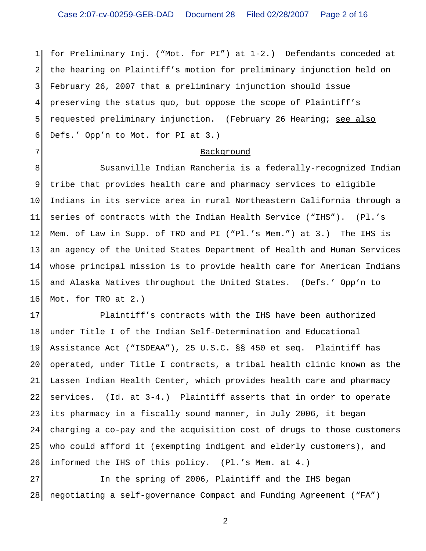$1<sup>1</sup>$ 2 3 4 5 6 for Preliminary Inj. ("Mot. for PI") at 1-2.) Defendants conceded at the hearing on Plaintiff's motion for preliminary injunction held on February 26, 2007 that a preliminary injunction should issue preserving the status quo, but oppose the scope of Plaintiff's requested preliminary injunction. (February 26 Hearing; see also Defs.' Opp'n to Mot. for PI at 3.)

#### Background

7

8 9 10 11 12 13 14 15 16 Susanville Indian Rancheria is a federally-recognized Indian tribe that provides health care and pharmacy services to eligible Indians in its service area in rural Northeastern California through a series of contracts with the Indian Health Service ("IHS"). (Pl.'s Mem. of Law in Supp. of TRO and PI ("Pl.'s Mem.") at 3.) The IHS is an agency of the United States Department of Health and Human Services whose principal mission is to provide health care for American Indians and Alaska Natives throughout the United States. (Defs.' Opp'n to Mot. for TRO at 2.)

17 18 19 20 21 22 23 24 25 26 Plaintiff's contracts with the IHS have been authorized under Title I of the Indian Self-Determination and Educational Assistance Act ("ISDEAA"), 25 U.S.C. §§ 450 et seq. Plaintiff has operated, under Title I contracts, a tribal health clinic known as the Lassen Indian Health Center, which provides health care and pharmacy services.  $(\underline{Id.}$  at 3-4.) Plaintiff asserts that in order to operate its pharmacy in a fiscally sound manner, in July 2006, it began charging a co-pay and the acquisition cost of drugs to those customers who could afford it (exempting indigent and elderly customers), and informed the IHS of this policy. (Pl.'s Mem. at 4.)

27 28 In the spring of 2006, Plaintiff and the IHS began negotiating a self-governance Compact and Funding Agreement ("FA")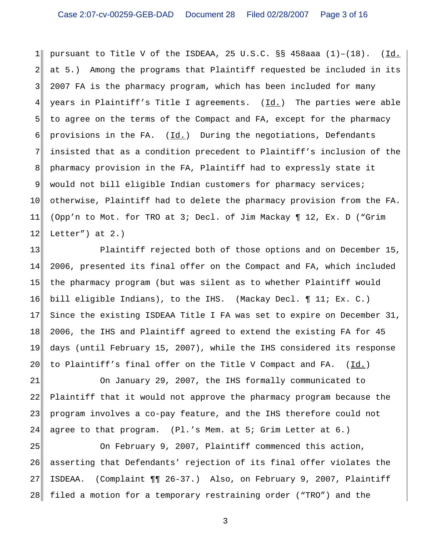$1<sup>1</sup>$ 2 3 4 5 6 7 8 9 10 11 12 pursuant to Title V of the ISDEAA, 25 U.S.C.  $\S$ § 458aaa (1)-(18). (Id. at 5.) Among the programs that Plaintiff requested be included in its 2007 FA is the pharmacy program, which has been included for many years in Plaintiff's Title I agreements. (Id.) The parties were able to agree on the terms of the Compact and FA, except for the pharmacy provisions in the FA. (Id.) During the negotiations, Defendants insisted that as a condition precedent to Plaintiff's inclusion of the pharmacy provision in the FA, Plaintiff had to expressly state it would not bill eligible Indian customers for pharmacy services; otherwise, Plaintiff had to delete the pharmacy provision from the FA. (Opp'n to Mot. for TRO at 3; Decl. of Jim Mackay ¶ 12, Ex. D ("Grim Letter") at  $2.$ )

13 14 15 16 17 18 19 20 Plaintiff rejected both of those options and on December 15, 2006, presented its final offer on the Compact and FA, which included the pharmacy program (but was silent as to whether Plaintiff would bill eligible Indians), to the IHS. (Mackay Decl. ¶ 11; Ex. C.) Since the existing ISDEAA Title I FA was set to expire on December 31, 2006, the IHS and Plaintiff agreed to extend the existing FA for 45 days (until February 15, 2007), while the IHS considered its response to Plaintiff's final offer on the Title V Compact and FA. (Id.)

21 22 23 24 On January 29, 2007, the IHS formally communicated to Plaintiff that it would not approve the pharmacy program because the program involves a co-pay feature, and the IHS therefore could not agree to that program. (Pl.'s Mem. at 5; Grim Letter at 6.)

25 26 27 28 On February 9, 2007, Plaintiff commenced this action, asserting that Defendants' rejection of its final offer violates the ISDEAA. (Complaint ¶¶ 26-37.) Also, on February 9, 2007, Plaintiff filed a motion for a temporary restraining order ("TRO") and the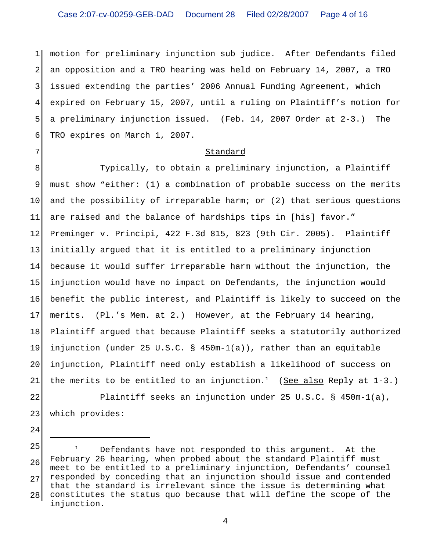1 2 3 4 5 6 motion for preliminary injunction sub judice. After Defendants filed an opposition and a TRO hearing was held on February 14, 2007, a TRO issued extending the parties' 2006 Annual Funding Agreement, which expired on February 15, 2007, until a ruling on Plaintiff's motion for a preliminary injunction issued. (Feb. 14, 2007 Order at 2-3.) The TRO expires on March 1, 2007.

### Standard

7

24

8 9 10 11 12 13 14 15 16 17 18 19 20 21 Typically, to obtain a preliminary injunction, a Plaintiff must show "either: (1) a combination of probable success on the merits and the possibility of irreparable harm; or (2) that serious questions are raised and the balance of hardships tips in [his] favor." Preminger v. Principi, 422 F.3d 815, 823 (9th Cir. 2005). Plaintiff initially argued that it is entitled to a preliminary injunction because it would suffer irreparable harm without the injunction, the injunction would have no impact on Defendants, the injunction would benefit the public interest, and Plaintiff is likely to succeed on the merits. (Pl.'s Mem. at 2.) However, at the February 14 hearing, Plaintiff argued that because Plaintiff seeks a statutorily authorized injunction (under 25 U.S.C. § 450m-1(a)), rather than an equitable injunction, Plaintiff need only establish a likelihood of success on the merits to be entitled to an injunction.<sup>1</sup> (See also Reply at  $1-3.$ )

22 23 Plaintiff seeks an injunction under 25 U.S.C. § 450m-1(a), which provides:

<sup>25</sup> 26 27 28 Defendants have not responded to this argument. At the February 26 hearing, when probed about the standard Plaintiff must meet to be entitled to a preliminary injunction, Defendants' counsel responded by conceding that an injunction should issue and contended that the standard is irrelevant since the issue is determining what constitutes the status quo because that will define the scope of the injunction.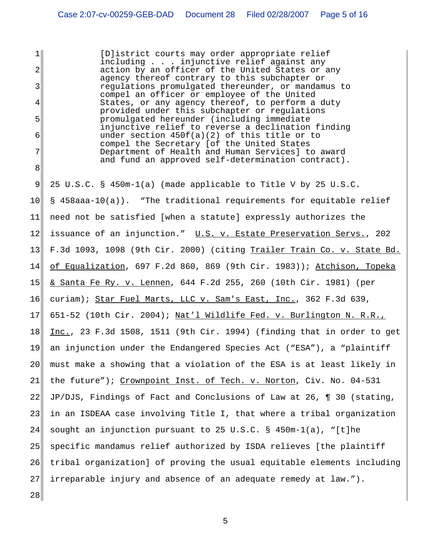$1$ 2 3 4 5 6 7 8 9 10 11 12 13 14 15 16 17 18 19 20 21 22 23 24 25 26 27 28 [D]istrict courts may order appropriate relief including . . . injunctive relief against any action by an officer of the United States or any agency thereof contrary to this subchapter or regulations promulgated thereunder, or mandamus to compel an officer or employee of the United States, or any agency thereof, to perform a duty provided under this subchapter or regulations promulgated hereunder (including immediate injunctive relief to reverse a declination finding under section 450f(a)(2) of this title or to compel the Secretary [of the United States Department of Health and Human Services] to award and fund an approved self-determination contract). 25 U.S.C. § 450m-1(a) (made applicable to Title V by 25 U.S.C. § 458aaa-10(a)). "The traditional requirements for equitable relief need not be satisfied [when a statute] expressly authorizes the issuance of an injunction." U.S. v. Estate Preservation Servs., 202 F.3d 1093, 1098 (9th Cir. 2000) (citing Trailer Train Co. v. State Bd. of Equalization, 697 F.2d 860, 869 (9th Cir. 1983)); Atchison, Topeka & Santa Fe Ry. v. Lennen, 644 F.2d 255, 260 (10th Cir. 1981) (per curiam); Star Fuel Marts, LLC v. Sam's East, Inc., 362 F.3d 639, 651-52 (10th Cir. 2004); Nat'l Wildlife Fed. v. Burlington N. R.R., Inc., 23 F.3d 1508, 1511 (9th Cir. 1994) (finding that in order to get an injunction under the Endangered Species Act ("ESA"), a "plaintiff must make a showing that a violation of the ESA is at least likely in the future"); Crownpoint Inst. of Tech. v. Norton, Civ. No. 04-531 JP/DJS, Findings of Fact and Conclusions of Law at 26, ¶ 30 (stating, in an ISDEAA case involving Title I, that where a tribal organization sought an injunction pursuant to 25 U.S.C. § 450m-1(a), "[t]he specific mandamus relief authorized by ISDA relieves [the plaintiff tribal organization] of proving the usual equitable elements including irreparable injury and absence of an adequate remedy at law.").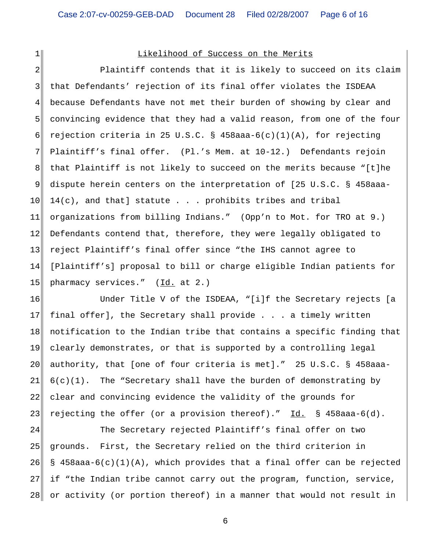$1$ 

## Likelihood of Success on the Merits

2 3 4 5 6 7 8 9 10 11 12 13 14 15 Plaintiff contends that it is likely to succeed on its claim that Defendants' rejection of its final offer violates the ISDEAA because Defendants have not met their burden of showing by clear and convincing evidence that they had a valid reason, from one of the four rejection criteria in 25 U.S.C. §  $458$ aaa- $6(c)(1)(A)$ , for rejecting Plaintiff's final offer. (Pl.'s Mem. at 10-12.) Defendants rejoin that Plaintiff is not likely to succeed on the merits because "[t]he dispute herein centers on the interpretation of [25 U.S.C. § 458aaa- $14(c)$ , and that] statute . . . prohibits tribes and tribal organizations from billing Indians." (Opp'n to Mot. for TRO at 9.) Defendants contend that, therefore, they were legally obligated to reject Plaintiff's final offer since "the IHS cannot agree to [Plaintiff's] proposal to bill or charge eligible Indian patients for pharmacy services." (Id. at 2.)

16 17 18 19 20 21 22 23 Under Title V of the ISDEAA, "[i]f the Secretary rejects [a final offer], the Secretary shall provide . . . a timely written notification to the Indian tribe that contains a specific finding that clearly demonstrates, or that is supported by a controlling legal authority, that [one of four criteria is met]." 25 U.S.C. § 458aaa- $6(c)(1)$ . The "Secretary shall have the burden of demonstrating by clear and convincing evidence the validity of the grounds for rejecting the offer (or a provision thereof)." Id. § 458aaa-6(d).

24 25 26 27 28 The Secretary rejected Plaintiff's final offer on two grounds. First, the Secretary relied on the third criterion in § 458aaa-6(c)(1)(A), which provides that a final offer can be rejected if "the Indian tribe cannot carry out the program, function, service, or activity (or portion thereof) in a manner that would not result in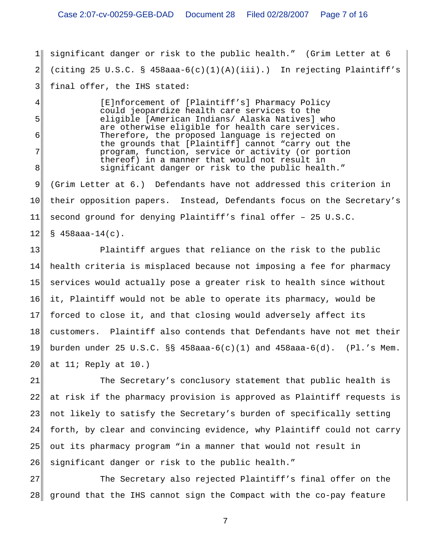1 2 3 significant danger or risk to the public health." (Grim Letter at 6 (citing 25 U.S.C. § 458aaa-6(c)(1)(A)(iii).) In rejecting Plaintiff's final offer, the IHS stated:

> [E]nforcement of [Plaintiff's] Pharmacy Policy could jeopardize health care services to the eligible [American Indians/ Alaska Natives] who are otherwise eligible for health care services. Therefore, the proposed language is rejected on the grounds that [Plaintiff] cannot "carry out the program, function, service or activity (or portion thereof) in a manner that would not result in significant danger or risk to the public health."

4

5

6

7

8

9 10 11 12 (Grim Letter at 6.) Defendants have not addressed this criterion in their opposition papers. Instead, Defendants focus on the Secretary's second ground for denying Plaintiff's final offer – 25 U.S.C.  $$458$ aaa-14(c).

13 14 15 16 17 18 19 20 Plaintiff argues that reliance on the risk to the public health criteria is misplaced because not imposing a fee for pharmacy services would actually pose a greater risk to health since without it, Plaintiff would not be able to operate its pharmacy, would be forced to close it, and that closing would adversely affect its customers. Plaintiff also contends that Defendants have not met their burden under 25 U.S.C. §§ 458aaa-6(c)(1) and 458aaa-6(d). (Pl.'s Mem. at  $11$ ; Reply at  $10.$ )

21 22 23 24 25 26 The Secretary's conclusory statement that public health is at risk if the pharmacy provision is approved as Plaintiff requests is not likely to satisfy the Secretary's burden of specifically setting forth, by clear and convincing evidence, why Plaintiff could not carry out its pharmacy program "in a manner that would not result in significant danger or risk to the public health."

27 28 ground that the IHS cannot sign the Compact with the co-pay feature The Secretary also rejected Plaintiff's final offer on the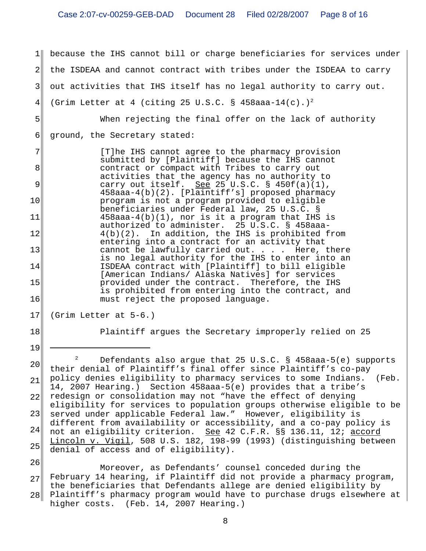1 2 3 4 5 6 7 8 9 10 11 12 13 14 15 16 17 because the IHS cannot bill or charge beneficiaries for services under the ISDEAA and cannot contract with tribes under the ISDEAA to carry out activities that IHS itself has no legal authority to carry out. (Grim Letter at 4 (citing 25 U.S.C. § 458aaa-14(c).)<sup>2</sup> When rejecting the final offer on the lack of authority ground, the Secretary stated: [T]he IHS cannot agree to the pharmacy provision submitted by [Plaintiff] because the IHS cannot contract or compact with Tribes to carry out activities that the agency has no authority to carry out itself. See 25 U.S.C.  $\S$  450f(a)(1), 458aaa-4(b)(2). [Plaintiff's] proposed pharmacy program is not a program provided to eligible beneficiaries under Federal law, 25 U.S.C. § 458aaa-4(b)(1), nor is it a program that IHS is authorized to administer. 25 U.S.C. § 458aaa-4(b)(2). In addition, the IHS is prohibited from entering into a contract for an activity that cannot be lawfully carried out. . . . Here, there is no legal authority for the IHS to enter into an ISDEAA contract with [Plaintiff] to bill eligible [American Indians/ Alaska Natives] for services provided under the contract. Therefore, the IHS is prohibited from entering into the contract, and must reject the proposed language. (Grim Letter at 5-6.)

18 19 Plaintiff argues the Secretary improperly relied on 25

20 21 22 23 24 25 <sup>2</sup> Defendants also argue that 25 U.S.C. § 458aaa-5(e) supports their denial of Plaintiff's final offer since Plaintiff's co-pay policy denies eligibility to pharmacy services to some Indians. (Feb. 14, 2007 Hearing.) Section 458aaa-5(e) provides that a tribe's redesign or consolidation may not "have the effect of denying eligibility for services to population groups otherwise eligible to be served under applicable Federal law." However, eligibility is different from availability or accessibility, and a co-pay policy is not an eligibility criterion. <u>See</u> 42 C.F.R. §§ 136.11, 12; <u>accord</u> Lincoln v. Vigil, 508 U.S. 182, 198-99 (1993) (distinguishing between denial of access and of eligibility).

26 27 28 Plaintiff's pharmacy program would have to purchase drugs elsewhere at Moreover, as Defendants' counsel conceded during the February 14 hearing, if Plaintiff did not provide a pharmacy program, the beneficiaries that Defendants allege are denied eligibility by higher costs. (Feb. 14, 2007 Hearing.)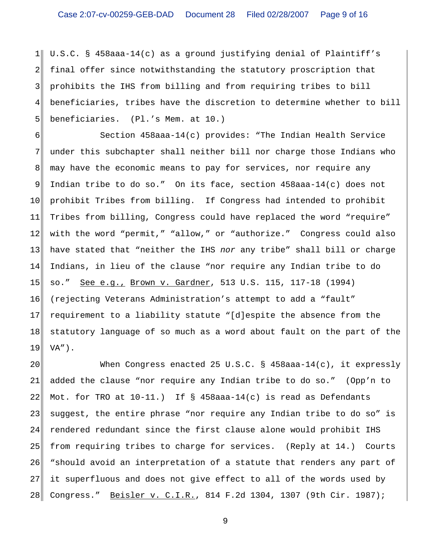$1$ 2 3 4 5 U.S.C. § 458aaa-14(c) as a ground justifying denial of Plaintiff's final offer since notwithstanding the statutory proscription that prohibits the IHS from billing and from requiring tribes to bill beneficiaries, tribes have the discretion to determine whether to bill beneficiaries. (Pl.'s Mem. at 10.)

6 7 8 9 10 11 12 13 14 15 16 17 18 19 Section 458aaa-14(c) provides: "The Indian Health Service under this subchapter shall neither bill nor charge those Indians who may have the economic means to pay for services, nor require any Indian tribe to do so." On its face, section 458aaa-14(c) does not prohibit Tribes from billing. If Congress had intended to prohibit Tribes from billing, Congress could have replaced the word "require" with the word "permit," "allow," or "authorize." Congress could also have stated that "neither the IHS *nor* any tribe" shall bill or charge Indians, in lieu of the clause "nor require any Indian tribe to do so." See e.g., Brown v. Gardner, 513 U.S. 115, 117-18 (1994) (rejecting Veterans Administration's attempt to add a "fault" requirement to a liability statute "[d]espite the absence from the statutory language of so much as a word about fault on the part of the  $VA''$ ).

20 21 22 23 24 25 26 27 28 When Congress enacted 25 U.S.C. §  $458$ aaa-14(c), it expressly added the clause "nor require any Indian tribe to do so." (Opp'n to Mot. for TRO at  $10-11$ .) If § 458aaa-14(c) is read as Defendants suggest, the entire phrase "nor require any Indian tribe to do so" is rendered redundant since the first clause alone would prohibit IHS from requiring tribes to charge for services. (Reply at 14.) Courts "should avoid an interpretation of a statute that renders any part of it superfluous and does not give effect to all of the words used by Congress." Beisler v. C.I.R., 814 F.2d 1304, 1307 (9th Cir. 1987);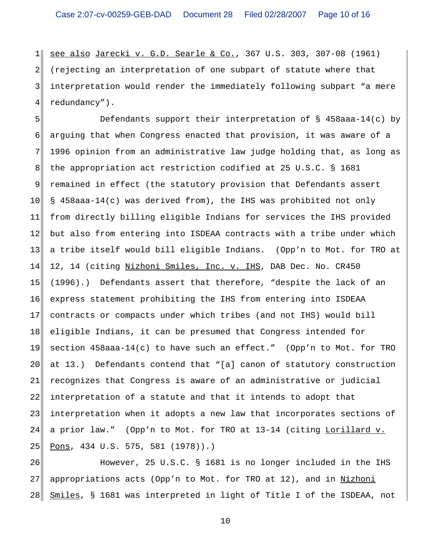$1$ 2 3 4 see also Jarecki v. G.D. Searle & Co., 367 U.S. 303, 307-08 (1961) (rejecting an interpretation of one subpart of statute where that interpretation would render the immediately following subpart "a mere redundancy").

5 6 7 8 9 10 11 12 13 14 15 16 17 18 19 20 21 22 23 24 25 Defendants support their interpretation of § 458aaa-14(c) by arguing that when Congress enacted that provision, it was aware of a 1996 opinion from an administrative law judge holding that, as long as the appropriation act restriction codified at 25 U.S.C. § 1681 remained in effect (the statutory provision that Defendants assert § 458aaa-14(c) was derived from), the IHS was prohibited not only from directly billing eligible Indians for services the IHS provided but also from entering into ISDEAA contracts with a tribe under which a tribe itself would bill eligible Indians. (Opp'n to Mot. for TRO at 12, 14 (citing Nizhoni Smiles, Inc. v. IHS, DAB Dec. No. CR450 (1996).) Defendants assert that therefore, "despite the lack of an express statement prohibiting the IHS from entering into ISDEAA contracts or compacts under which tribes (and not IHS) would bill eligible Indians, it can be presumed that Congress intended for section 458aaa-14(c) to have such an effect." (Opp'n to Mot. for TRO at 13.) Defendants contend that "[a] canon of statutory construction recognizes that Congress is aware of an administrative or judicial interpretation of a statute and that it intends to adopt that interpretation when it adopts a new law that incorporates sections of a prior law." (Opp'n to Mot. for TRO at 13-14 (citing Lorillard v. Pons, 434 U.S. 575, 581 (1978)).)

26 27 28 However, 25 U.S.C. § 1681 is no longer included in the IHS appropriations acts (Opp'n to Mot. for TRO at 12), and in Nizhoni Smiles, § 1681 was interpreted in light of Title I of the ISDEAA, not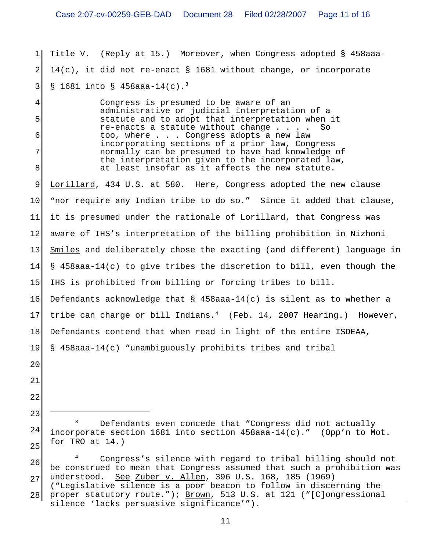1 2 3 Title V. (Reply at 15.) Moreover, when Congress adopted § 458aaa- $14(c)$ , it did not re-enact § 1681 without change, or incorporate § 1681 into § 458aaa-14(c).<sup>3</sup>

> Congress is presumed to be aware of an administrative or judicial interpretation of a statute and to adopt that interpretation when it  $re$ -enacts a statute without change . . . . too, where . . . Congress adopts a new law incorporating sections of a prior law, Congress normally can be presumed to have had knowledge of the interpretation given to the incorporated law, at least insofar as it affects the new statute.

9 10 11 12 13 14 15 16 17 18 19 Lorillard, 434 U.S. at 580. Here, Congress adopted the new clause "nor require any Indian tribe to do so." Since it added that clause, it is presumed under the rationale of Lorillard, that Congress was aware of IHS's interpretation of the billing prohibition in Nizhoni Smiles and deliberately chose the exacting (and different) language in § 458aaa-14(c) to give tribes the discretion to bill, even though the IHS is prohibited from billing or forcing tribes to bill. Defendants acknowledge that  $\S$  458aaa-14(c) is silent as to whether a tribe can charge or bill Indians.<sup>4</sup> (Feb. 14, 2007 Hearing.) However, Defendants contend that when read in light of the entire ISDEAA, § 458aaa-14(c) "unambiguously prohibits tribes and tribal

20

4

5

6

7

8

22

23

<sup>24</sup> 25 Defendants even concede that "Congress did not actually incorporate section 1681 into section 458aaa-14(c)." (Opp'n to Mot. for TRO at 14.)

<sup>26</sup> 27 4 Congress's silence with regard to tribal billing should not be construed to mean that Congress assumed that such a prohibition was understood. See Zuber v. Allen, 396 U.S. 168, 185 (1969) ("Legislative silence is a poor beacon to follow in discerning the proper statutory route."); Brown, 513 U.S. at 121 ("[C]ongressional

<sup>28</sup> silence 'lacks persuasive significance'").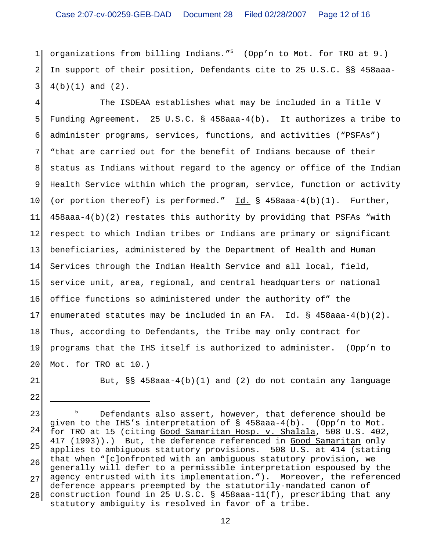# Case 2:07-cv-00259-GEB-DAD Document 28 Filed 02/28/2007 Page 12 of 16

 $1$ 2 3 organizations from billing Indians."<sup>5</sup> (Opp'n to Mot. for TRO at  $9.$ ) In support of their position, Defendants cite to 25 U.S.C. §§ 458aaa-4(b)(1) and (2).

4 5 6 7 8 9 10 11 12 13 14 15 16 17 18 19 20 The ISDEAA establishes what may be included in a Title V Funding Agreement. 25 U.S.C. § 458aaa-4(b). It authorizes a tribe to administer programs, services, functions, and activities ("PSFAs") "that are carried out for the benefit of Indians because of their status as Indians without regard to the agency or office of the Indian Health Service within which the program, service, function or activity (or portion thereof) is performed."  $Id. \$ § 458aaa-4(b)(1). Further, 458aaa-4(b)(2) restates this authority by providing that PSFAs "with respect to which Indian tribes or Indians are primary or significant beneficiaries, administered by the Department of Health and Human Services through the Indian Health Service and all local, field, service unit, area, regional, and central headquarters or national office functions so administered under the authority of" the enumerated statutes may be included in an FA. Id. § 458aaa-4(b)(2). Thus, according to Defendants, the Tribe may only contract for programs that the IHS itself is authorized to administer. (Opp'n to Mot. for TRO at 10.)

21

22

But,  $\S$ § 458aaa-4(b)(1) and (2) do not contain any language

23 24 25 26 27 28 5 Defendants also assert, however, that deference should be given to the IHS's interpretation of § 458aaa-4(b). (Opp'n to Mot. for TRO at 15 (citing Good Samaritan Hosp. v. Shalala, 508 U.S. 402, 417 (1993)).) But, the deference referenced in Good Samaritan only applies to ambiguous statutory provisions. 508 U.S. at 414 (stating that when "[c]onfronted with an ambiguous statutory provision, we generally will defer to a permissible interpretation espoused by the agency entrusted with its implementation."). Moreover, the referenced deference appears preempted by the statutorily-mandated canon of construction found in 25 U.S.C. § 458aaa-11(f), prescribing that any statutory ambiguity is resolved in favor of a tribe.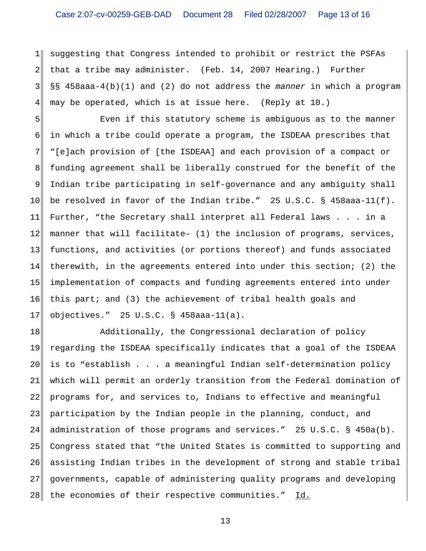$1$ 2 3 4 suggesting that Congress intended to prohibit or restrict the PSFAs that a tribe may administer. (Feb. 14, 2007 Hearing.) Further §§ 458aaa-4(b)(1) and (2) do not address the *manner* in which a program may be operated, which is at issue here. (Reply at 10.)

5 6 7 8 9 10 11 12 13 14 15 16 17 Even if this statutory scheme is ambiguous as to the manner in which a tribe could operate a program, the ISDEAA prescribes that "[e]ach provision of [the ISDEAA] and each provision of a compact or funding agreement shall be liberally construed for the benefit of the Indian tribe participating in self-governance and any ambiguity shall be resolved in favor of the Indian tribe." 25 U.S.C. § 458aaa-11(f). Further, "the Secretary shall interpret all Federal laws . . . in a manner that will facilitate– (1) the inclusion of programs, services, functions, and activities (or portions thereof) and funds associated therewith, in the agreements entered into under this section; (2) the implementation of compacts and funding agreements entered into under this part; and (3) the achievement of tribal health goals and objectives." 25 U.S.C. § 458aaa-11(a).

18 19 20 21 22 23 24 25 26 27 28 Additionally, the Congressional declaration of policy regarding the ISDEAA specifically indicates that a goal of the ISDEAA is to "establish . . . a meaningful Indian self-determination policy which will permit an orderly transition from the Federal domination of programs for, and services to, Indians to effective and meaningful participation by the Indian people in the planning, conduct, and administration of those programs and services." 25 U.S.C. § 450a(b). Congress stated that "the United States is committed to supporting and assisting Indian tribes in the development of strong and stable tribal governments, capable of administering quality programs and developing the economies of their respective communities." Id.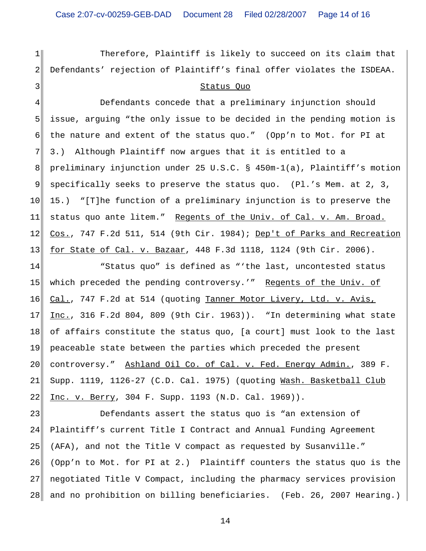$1$ 

2

3

Therefore, Plaintiff is likely to succeed on its claim that Defendants' rejection of Plaintiff's final offer violates the ISDEAA.

### Status Quo

4 5 6 7 8 9 10 11 12 13 Defendants concede that a preliminary injunction should issue, arguing "the only issue to be decided in the pending motion is the nature and extent of the status quo." (Opp'n to Mot. for PI at 3.) Although Plaintiff now argues that it is entitled to a preliminary injunction under 25 U.S.C. § 450m-1(a), Plaintiff's motion specifically seeks to preserve the status quo. (Pl.'s Mem. at 2, 3, 15.) "[T]he function of a preliminary injunction is to preserve the status quo ante litem." Regents of the Univ. of Cal. v. Am. Broad. Cos., 747 F.2d 511, 514 (9th Cir. 1984); Dep't of Parks and Recreation for State of Cal. v. Bazaar, 448 F.3d 1118, 1124 (9th Cir. 2006).

14 15 16 17 18 19 20 21 22 "Status quo" is defined as "'the last, uncontested status which preceded the pending controversy.'" Regents of the Univ. of Cal., 747 F.2d at 514 (quoting Tanner Motor Livery, Ltd. v. Avis, Inc., 316 F.2d 804, 809 (9th Cir. 1963)). "In determining what state of affairs constitute the status quo, [a court] must look to the last peaceable state between the parties which preceded the present controversy." Ashland Oil Co. of Cal. v. Fed. Energy Admin., 389 F. Supp. 1119, 1126-27 (C.D. Cal. 1975) (quoting Wash. Basketball Club Inc. v. Berry, 304 F. Supp. 1193 (N.D. Cal. 1969)).

23 24 25 26 27 28 Defendants assert the status quo is "an extension of Plaintiff's current Title I Contract and Annual Funding Agreement (AFA), and not the Title V compact as requested by Susanville." (Opp'n to Mot. for PI at 2.) Plaintiff counters the status quo is the negotiated Title V Compact, including the pharmacy services provision and no prohibition on billing beneficiaries. (Feb. 26, 2007 Hearing.)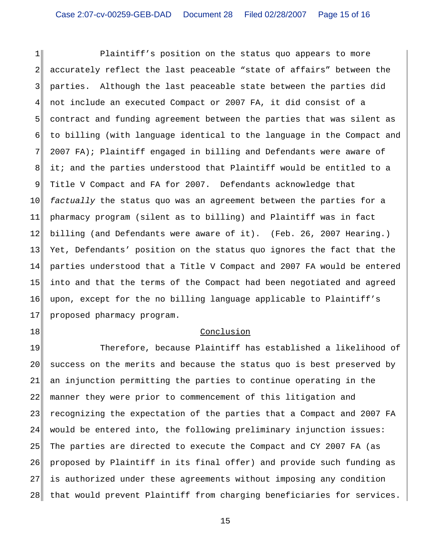$1$ 2 3 4 5 6 7 8 9 10 11 12 13 14 15 16 17 Plaintiff's position on the status quo appears to more accurately reflect the last peaceable "state of affairs" between the parties. Although the last peaceable state between the parties did not include an executed Compact or 2007 FA, it did consist of a contract and funding agreement between the parties that was silent as to billing (with language identical to the language in the Compact and 2007 FA); Plaintiff engaged in billing and Defendants were aware of it; and the parties understood that Plaintiff would be entitled to a Title V Compact and FA for 2007. Defendants acknowledge that *factually* the status quo was an agreement between the parties for a pharmacy program (silent as to billing) and Plaintiff was in fact billing (and Defendants were aware of it). (Feb. 26, 2007 Hearing.) Yet, Defendants' position on the status quo ignores the fact that the parties understood that a Title V Compact and 2007 FA would be entered into and that the terms of the Compact had been negotiated and agreed upon, except for the no billing language applicable to Plaintiff's proposed pharmacy program.

## Conclusion

18

19 20 21 22 23 24 25 26 27 28 Therefore, because Plaintiff has established a likelihood of success on the merits and because the status quo is best preserved by an injunction permitting the parties to continue operating in the manner they were prior to commencement of this litigation and recognizing the expectation of the parties that a Compact and 2007 FA would be entered into, the following preliminary injunction issues: The parties are directed to execute the Compact and CY 2007 FA (as proposed by Plaintiff in its final offer) and provide such funding as is authorized under these agreements without imposing any condition that would prevent Plaintiff from charging beneficiaries for services.